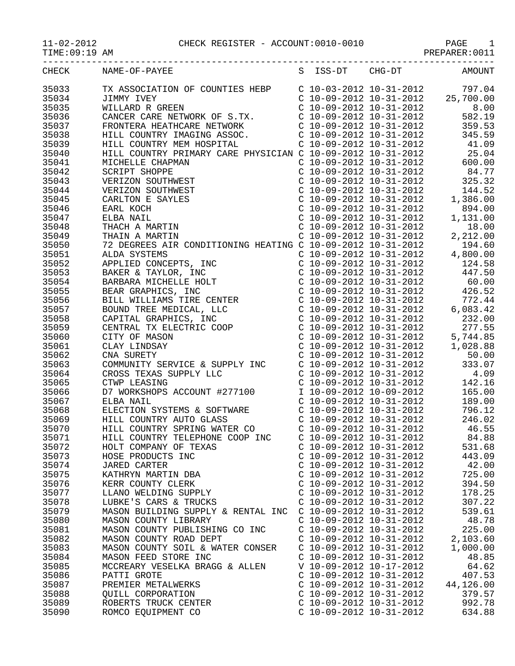| -----------    | ___________________________                                                                                                                                                                                                                      |  |                                                    |  |                                                                                                                                                                                      |
|----------------|--------------------------------------------------------------------------------------------------------------------------------------------------------------------------------------------------------------------------------------------------|--|----------------------------------------------------|--|--------------------------------------------------------------------------------------------------------------------------------------------------------------------------------------|
| CHECK          | NAME-OF-PAYEE                                                                                                                                                                                                                                    |  | S ISS-DT CHG-DT                                    |  | AMOUNT                                                                                                                                                                               |
| 35033          | TX ASSOCIATION OF COUNTIES HEBP<br>C 10-03-2012 10-31-2012 797.04<br>C 10-09-2012 10-31-2012 25,700.00<br>WILLARD R GREEN<br>C 10-09-2012 10-31-2012 25,700.00<br>CANCER CARE NETWORK OF S.TX. C 10-09-2012 10-31-2012 582.19<br>FRONTE          |  |                                                    |  |                                                                                                                                                                                      |
| 35034          |                                                                                                                                                                                                                                                  |  |                                                    |  |                                                                                                                                                                                      |
| 35035          |                                                                                                                                                                                                                                                  |  |                                                    |  |                                                                                                                                                                                      |
| 35036          |                                                                                                                                                                                                                                                  |  |                                                    |  |                                                                                                                                                                                      |
| 35037          |                                                                                                                                                                                                                                                  |  |                                                    |  |                                                                                                                                                                                      |
| 35038          |                                                                                                                                                                                                                                                  |  |                                                    |  |                                                                                                                                                                                      |
| 35039          |                                                                                                                                                                                                                                                  |  |                                                    |  |                                                                                                                                                                                      |
| 35040          |                                                                                                                                                                                                                                                  |  |                                                    |  |                                                                                                                                                                                      |
| 35041          | MICHELLE CHAPMAN<br>NT INITIAL CALL INDICITAT<br>HAPMAN<br>PPE<br>UTHWEST<br>UTHWEST<br>SAYLES<br>RTIN<br>RTIN<br>RTIN                                                                                                                           |  |                                                    |  | $C$ 10-09-2012 10-31-2012 600.00                                                                                                                                                     |
| 35042          | SCRIPT SHOPPE                                                                                                                                                                                                                                    |  |                                                    |  | C 10-09-2012 10-31-2012<br>C 10-09-2012 10-31-2012<br>C 10-09-2012 10-31-2012<br>C 10-09-2012 10-31-2012<br>C 10-09-2012 10-31-2012<br>144.52<br>C 10-09-2012 10-31-2012<br>1,386.00 |
| 35043          | VERIZON SOUTHWEST                                                                                                                                                                                                                                |  |                                                    |  |                                                                                                                                                                                      |
| 35044          | VERIZON SOUTHWEST                                                                                                                                                                                                                                |  |                                                    |  |                                                                                                                                                                                      |
| 35045          | CARLTON E SAYLES                                                                                                                                                                                                                                 |  |                                                    |  |                                                                                                                                                                                      |
| 35046          | EARL KOCH                                                                                                                                                                                                                                        |  |                                                    |  | $\begin{array}{ccc} \text{C} & 10-09-2012 & 10-31-2012 & 894.00 \\ \text{C} & 10-09-2012 & 10-31-2012 & 1,131.00 \end{array}$                                                        |
| 35047          | ELBA NAIL                                                                                                                                                                                                                                        |  |                                                    |  |                                                                                                                                                                                      |
| 35048          |                                                                                                                                                                                                                                                  |  |                                                    |  |                                                                                                                                                                                      |
| 35049          |                                                                                                                                                                                                                                                  |  |                                                    |  |                                                                                                                                                                                      |
| 35050          | THACH A MARTIN<br>THACH A MARTIN<br>THAIN A MARTIN<br>C 10-09-2012 10-31-2012<br>C 10-09-2012 10-31-2012<br>C 10-09-2012 10-31-2012<br>C 10-09-2012 10-31-2012<br>C 10-09-2012 10-31-2012<br>C 10-09-2012 10-31-2012<br>C 10-09-2012 10-31-2012  |  |                                                    |  |                                                                                                                                                                                      |
| 35051          |                                                                                                                                                                                                                                                  |  |                                                    |  |                                                                                                                                                                                      |
| 35052          |                                                                                                                                                                                                                                                  |  |                                                    |  |                                                                                                                                                                                      |
| 35053          | ALDA SYSTEMS<br>APPLIED CONCEPTS, INC<br>BARER & TAYLOR, INC<br>BARER & TAYLOR, INC<br>BARER & TAYLOR, INC<br>C 10-09-2012 10-31-2012<br>C 10-09-2012 10-31-2012<br>C 10-09-2012 10-31-2012<br>C 10-09-2012 10-31-2012<br>C 10-09-2012 10-31-201 |  |                                                    |  |                                                                                                                                                                                      |
| 35054          |                                                                                                                                                                                                                                                  |  |                                                    |  |                                                                                                                                                                                      |
| 35055          |                                                                                                                                                                                                                                                  |  |                                                    |  |                                                                                                                                                                                      |
| 35056          |                                                                                                                                                                                                                                                  |  |                                                    |  |                                                                                                                                                                                      |
| 35057          |                                                                                                                                                                                                                                                  |  |                                                    |  |                                                                                                                                                                                      |
| 35058<br>35059 |                                                                                                                                                                                                                                                  |  |                                                    |  |                                                                                                                                                                                      |
| 35060          |                                                                                                                                                                                                                                                  |  |                                                    |  |                                                                                                                                                                                      |
| 35061          |                                                                                                                                                                                                                                                  |  |                                                    |  |                                                                                                                                                                                      |
| 35062          |                                                                                                                                                                                                                                                  |  |                                                    |  |                                                                                                                                                                                      |
| 35063          |                                                                                                                                                                                                                                                  |  |                                                    |  |                                                                                                                                                                                      |
| 35064          |                                                                                                                                                                                                                                                  |  |                                                    |  |                                                                                                                                                                                      |
| 35065          |                                                                                                                                                                                                                                                  |  |                                                    |  |                                                                                                                                                                                      |
| 35066          |                                                                                                                                                                                                                                                  |  |                                                    |  |                                                                                                                                                                                      |
| 35067          | ELBA NAIL                                                                                                                                                                                                                                        |  | $C$ 10-09-2012 10-31-2012                          |  | 189.00                                                                                                                                                                               |
| 35068          | ELECTION SYSTEMS & SOFTWARE                                                                                                                                                                                                                      |  | C 10-09-2012 10-31-2012                            |  | 796.12                                                                                                                                                                               |
| 35069          | $C = 10-09-2012$ $10-31-2012$<br>HILL COUNTRY AUTO GLASS                                                                                                                                                                                         |  |                                                    |  | 246.02                                                                                                                                                                               |
| 35070          | HILL COUNTRY SPRING WATER CO C 10-09-2012 10-31-2012                                                                                                                                                                                             |  |                                                    |  | 46.55                                                                                                                                                                                |
| 35071          | HILL COUNTRY TELEPHONE COOP INC C 10-09-2012 10-31-2012                                                                                                                                                                                          |  |                                                    |  | 84.88                                                                                                                                                                                |
| 35072          | HOLT COMPANY OF TEXAS                                                                                                                                                                                                                            |  | C 10-09-2012 10-31-2012                            |  | 531.68                                                                                                                                                                               |
| 35073          | HOSE PRODUCTS INC                                                                                                                                                                                                                                |  | $C$ 10-09-2012 10-31-2012                          |  | 443.09                                                                                                                                                                               |
| 35074          | UAKED CARTER<br>KATHRYN MARTIN DBA<br>KERR COUNTY CLERK<br>LLANO WELDING SUPPLY<br>LLIANO WELDING SUPPLY                                                                                                                                         |  | $C$ 10-09-2012 10-31-2012                          |  | 42.00                                                                                                                                                                                |
| 35075          |                                                                                                                                                                                                                                                  |  | $C$ 10-09-2012 10-31-2012                          |  | 725.00                                                                                                                                                                               |
| 35076          |                                                                                                                                                                                                                                                  |  | C 10-09-2012 10-31-2012<br>C 10-09-2012 10-31-2012 |  | 394.50                                                                                                                                                                               |
| 35077          |                                                                                                                                                                                                                                                  |  |                                                    |  | 178.25                                                                                                                                                                               |
| 35078          | LUBKE'S CARS & TRUCKS                                                                                                                                                                                                                            |  | $C$ 10-09-2012 10-31-2012                          |  | 307.22                                                                                                                                                                               |
| 35079          | MASON BUILDING SUPPLY & RENTAL INC $\,$ C 10-09-2012 10-31-2012                                                                                                                                                                                  |  |                                                    |  | 539.61                                                                                                                                                                               |
| 35080          | MASON COUNTY LIBRARY                                                                                                                                                                                                                             |  | $C$ 10-09-2012 10-31-2012                          |  | 48.78                                                                                                                                                                                |
| 35081          | MASON COUNTY PUBLISHING CO INC                                                                                                                                                                                                                   |  | $C$ 10-09-2012 10-31-2012                          |  | 225.00                                                                                                                                                                               |
| 35082          | MASON COUNTY ROAD DEPT                                                                                                                                                                                                                           |  | $C$ 10-09-2012 10-31-2012                          |  | 2,103.60                                                                                                                                                                             |
| 35083          | MASON COUNTY SOIL & WATER CONSER C 10-09-2012 10-31-2012                                                                                                                                                                                         |  |                                                    |  | 1,000.00                                                                                                                                                                             |
| 35084          | MASON FEED STORE INC                                                                                                                                                                                                                             |  | $C$ 10-09-2012 10-31-2012                          |  | 48.85                                                                                                                                                                                |
| 35085          | MCCREARY VESELKA BRAGG & ALLEN                                                                                                                                                                                                                   |  | V 10-09-2012 10-17-2012                            |  | 64.62                                                                                                                                                                                |
| 35086          | PATTI GROTE                                                                                                                                                                                                                                      |  | $C$ 10-09-2012 10-31-2012                          |  | 407.53<br>$C$ 10-09-2012 10-31-2012 44,126.00                                                                                                                                        |
| 35087          |                                                                                                                                                                                                                                                  |  |                                                    |  |                                                                                                                                                                                      |
| 35088          |                                                                                                                                                                                                                                                  |  | $C$ 10-09-2012 10-31-2012                          |  | 379.57                                                                                                                                                                               |
| 35089          | CORPORATION<br>ROBERTS TRUCK CENTER<br>ROMCO EQUIPMENT CO                                                                                                                                                                                        |  | $C$ 10-09-2012 10-31-2012                          |  | 992.78                                                                                                                                                                               |
| 35090          |                                                                                                                                                                                                                                                  |  | C 10-09-2012 10-31-2012                            |  | 634.88                                                                                                                                                                               |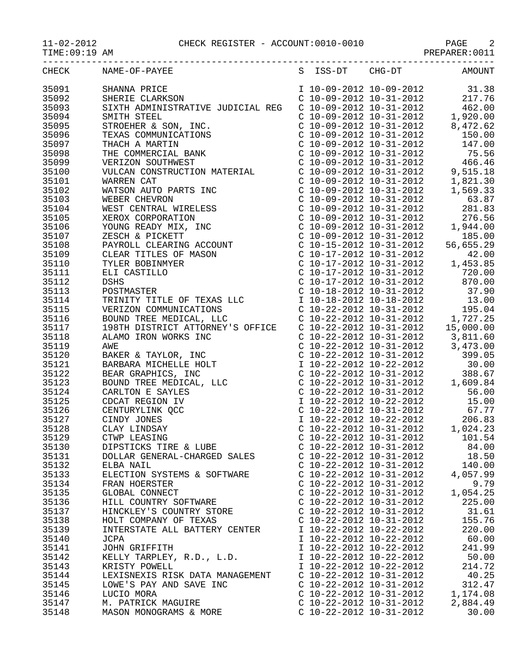## $11-02-2012$  CHECK REGISTER - ACCOUNT:0010-0010<br>TIME:09:19 AM

| TIME: 09:19 AM |                                                                                                                                                                                                                                                                                                                                                              |                             |          |
|----------------|--------------------------------------------------------------------------------------------------------------------------------------------------------------------------------------------------------------------------------------------------------------------------------------------------------------------------------------------------------------|-----------------------------|----------|
|                | CHECK NAME-OF-PAYEE S ISS-DT CHG-DT                                                                                                                                                                                                                                                                                                                          |                             | AMOUNT   |
|                | 35091 SHANNA PRICE 10-09-2012 10-09-2012 31.38<br>35092 SHERIE CLARKSON C 10-09-2012 10-31-2012 217.76<br>35093 SIXTH ADMINISTRATIVE JUDICIAL REG C 10-09-2012 10-31-2012 462.00<br>35094 SMITH STEEL CLARE                                                                                                                                                  |                             |          |
|                |                                                                                                                                                                                                                                                                                                                                                              |                             |          |
|                |                                                                                                                                                                                                                                                                                                                                                              |                             |          |
|                |                                                                                                                                                                                                                                                                                                                                                              |                             |          |
|                |                                                                                                                                                                                                                                                                                                                                                              |                             |          |
| 35095          |                                                                                                                                                                                                                                                                                                                                                              |                             |          |
| 35096          |                                                                                                                                                                                                                                                                                                                                                              |                             |          |
| 35097          |                                                                                                                                                                                                                                                                                                                                                              |                             |          |
| 35098          |                                                                                                                                                                                                                                                                                                                                                              |                             |          |
| 35099          |                                                                                                                                                                                                                                                                                                                                                              |                             |          |
| 35100          |                                                                                                                                                                                                                                                                                                                                                              |                             |          |
| 35101          |                                                                                                                                                                                                                                                                                                                                                              |                             |          |
| 35102          |                                                                                                                                                                                                                                                                                                                                                              |                             |          |
| 35103          |                                                                                                                                                                                                                                                                                                                                                              |                             |          |
| 35104          |                                                                                                                                                                                                                                                                                                                                                              |                             |          |
| 35105          |                                                                                                                                                                                                                                                                                                                                                              |                             |          |
| 35106          |                                                                                                                                                                                                                                                                                                                                                              |                             |          |
| 35107          |                                                                                                                                                                                                                                                                                                                                                              |                             |          |
| 35108          |                                                                                                                                                                                                                                                                                                                                                              |                             |          |
| 35109          |                                                                                                                                                                                                                                                                                                                                                              |                             |          |
|                |                                                                                                                                                                                                                                                                                                                                                              |                             |          |
| 35110          |                                                                                                                                                                                                                                                                                                                                                              |                             |          |
| 35111          |                                                                                                                                                                                                                                                                                                                                                              |                             |          |
| 35112          |                                                                                                                                                                                                                                                                                                                                                              |                             |          |
| 35113          | POSTMASTER<br>TRINITY TIT<br>VERIZON COM                                                                                                                                                                                                                                                                                                                     |                             |          |
| 35114          |                                                                                                                                                                                                                                                                                                                                                              |                             |          |
| 35115          |                                                                                                                                                                                                                                                                                                                                                              |                             |          |
| 35116          | $\begin{tabular}{l c c c c} \textbf{SIXTH} & \textbf{ADININISTRATIVE} & \textbf{JUDICIAL REG} & \textbf{C} & 10-09-2012 & 10-31-2012 & 462.00 \\ \textbf{STROERER & SOM, INC.} & \textbf{C} & 10-09-2012 & 10-31-2012 & 4,472.62 \\ \textbf{STROERER & AMRTIN & \textbf{C} & 10-09-2012 & 10-31-2012 & 150.00 \\ \textbf{TRAC HAMENTION & \textbf{C} & 10-0$ |                             |          |
| 35117          |                                                                                                                                                                                                                                                                                                                                                              |                             |          |
| 35118          |                                                                                                                                                                                                                                                                                                                                                              |                             |          |
| 35119          |                                                                                                                                                                                                                                                                                                                                                              |                             |          |
| 35120          |                                                                                                                                                                                                                                                                                                                                                              |                             |          |
| 35121          |                                                                                                                                                                                                                                                                                                                                                              |                             |          |
| 35122          |                                                                                                                                                                                                                                                                                                                                                              |                             |          |
| 35123          |                                                                                                                                                                                                                                                                                                                                                              |                             |          |
| 35124          |                                                                                                                                                                                                                                                                                                                                                              |                             |          |
| 35125          |                                                                                                                                                                                                                                                                                                                                                              |                             |          |
| 35126          |                                                                                                                                                                                                                                                                                                                                                              |                             |          |
| 35127          |                                                                                                                                                                                                                                                                                                                                                              |                             |          |
|                |                                                                                                                                                                                                                                                                                                                                                              |                             |          |
| 35128          | CLAY LINDSAY                                                                                                                                                                                                                                                                                                                                                 | C $10-22-2012$ $10-31-2012$ | 1,024.23 |
| 35129          | CTWP LEASING                                                                                                                                                                                                                                                                                                                                                 | $C$ 10-22-2012 10-31-2012   | 101.54   |
| 35130          | DIPSTICKS TIRE & LUBE                                                                                                                                                                                                                                                                                                                                        | $C$ 10-22-2012 10-31-2012   | 84.00    |
| 35131          | DOLLAR GENERAL-CHARGED SALES                                                                                                                                                                                                                                                                                                                                 | $C$ 10-22-2012 10-31-2012   | 18.50    |
| 35132          | ELBA NAIL                                                                                                                                                                                                                                                                                                                                                    | $C$ 10-22-2012 10-31-2012   | 140.00   |
| 35133          | ELECTION SYSTEMS & SOFTWARE                                                                                                                                                                                                                                                                                                                                  | $C$ 10-22-2012 10-31-2012   | 4,057.99 |
| 35134          | FRAN HOERSTER                                                                                                                                                                                                                                                                                                                                                | $C$ 10-22-2012 10-31-2012   | 9.79     |
| 35135          | GLOBAL CONNECT                                                                                                                                                                                                                                                                                                                                               | $C$ 10-22-2012 10-31-2012   | 1,054.25 |
| 35136          | HILL COUNTRY SOFTWARE                                                                                                                                                                                                                                                                                                                                        | $C$ 10-22-2012 10-31-2012   | 225.00   |
| 35137          | HINCKLEY'S COUNTRY STORE                                                                                                                                                                                                                                                                                                                                     | $C$ 10-22-2012 10-31-2012   | 31.61    |
| 35138          | HOLT COMPANY OF TEXAS                                                                                                                                                                                                                                                                                                                                        | $C$ 10-22-2012 10-31-2012   | 155.76   |
| 35139          | INTERSTATE ALL BATTERY CENTER                                                                                                                                                                                                                                                                                                                                | I 10-22-2012 10-22-2012     | 220.00   |
| 35140          | <b>JCPA</b>                                                                                                                                                                                                                                                                                                                                                  | I 10-22-2012 10-22-2012     | 60.00    |
| 35141          | JOHN GRIFFITH                                                                                                                                                                                                                                                                                                                                                | I 10-22-2012 10-22-2012     | 241.99   |
| 35142          | KELLY TARPLEY, R.D., L.D.                                                                                                                                                                                                                                                                                                                                    | I 10-22-2012 10-22-2012     | 50.00    |
| 35143          | KRISTY POWELL                                                                                                                                                                                                                                                                                                                                                | I 10-22-2012 10-22-2012     | 214.72   |
| 35144          | LEXISNEXIS RISK DATA MANAGEMENT                                                                                                                                                                                                                                                                                                                              | $C$ 10-22-2012 10-31-2012   | 40.25    |
| 35145          | LOWE'S PAY AND SAVE INC                                                                                                                                                                                                                                                                                                                                      | $C$ 10-22-2012 10-31-2012   | 312.47   |
| 35146          | LUCIO MORA                                                                                                                                                                                                                                                                                                                                                   | $C$ 10-22-2012 10-31-2012   | 1,174.08 |
|                |                                                                                                                                                                                                                                                                                                                                                              |                             |          |
| 35147          | M. PATRICK MAGUIRE                                                                                                                                                                                                                                                                                                                                           | $C$ 10-22-2012 10-31-2012   | 2,884.49 |

35148 MASON MONOGRAMS & MORE C 10-22-2012 10-31-2012 30.00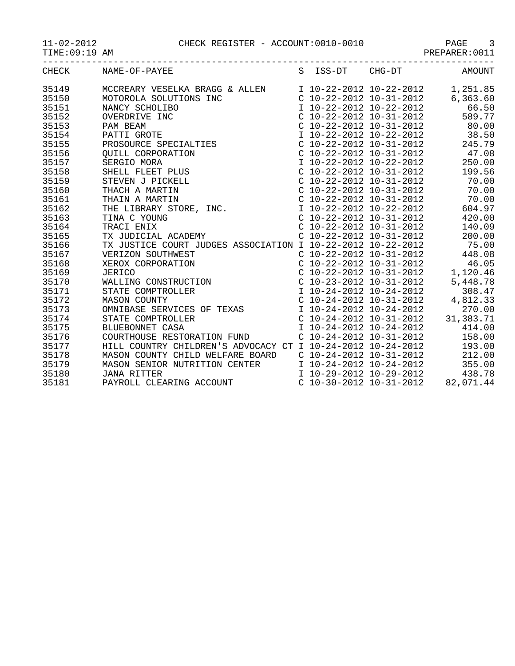11-02-2012 CHECK REGISTER - ACCOUNT:0010-0010 PAGE 3

| -201<br>$\lambda$ –<br>╭. |
|---------------------------|
|---------------------------|

TIME:09:19 AM PREPARER:0011

| CHECK | NAME-OF-PAYEE                                                                                                                                                                                                                                            | S | ISS-DT | $CHG-DT$                  | AMOUNT                                                            |
|-------|----------------------------------------------------------------------------------------------------------------------------------------------------------------------------------------------------------------------------------------------------------|---|--------|---------------------------|-------------------------------------------------------------------|
| 35149 | MCCREARY VESELKA BRAGG & ALLEN 10-22-2012 10-22-2012 1,251.85                                                                                                                                                                                            |   |        |                           |                                                                   |
| 35150 | MOTOROLA SOLUTIONS INC                                                                                                                                                                                                                                   |   |        |                           | C 10-22-2012 $10-31-2012$ 6,363.60                                |
| 35151 |                                                                                                                                                                                                                                                          |   |        |                           | I 10-22-2012 10-22-2012 66.50                                     |
| 35152 |                                                                                                                                                                                                                                                          |   |        |                           | C 10-22-2012 10-31-2012 589.77                                    |
| 35153 |                                                                                                                                                                                                                                                          |   |        |                           | C $10-22-2012$ $10-31-2012$ 80.00                                 |
| 35154 |                                                                                                                                                                                                                                                          |   |        |                           | 38.50                                                             |
| 35155 |                                                                                                                                                                                                                                                          |   |        |                           | 1 10-22-2012 10-22-2012 38.50<br>C 10-22-2012 10-31-2012 245.79   |
| 35156 |                                                                                                                                                                                                                                                          |   |        |                           | C $10-22-2012$ $10-31-2012$ 47.08                                 |
| 35157 |                                                                                                                                                                                                                                                          |   |        |                           | I 10-22-2012 10-22-2012 250.00                                    |
| 35158 |                                                                                                                                                                                                                                                          |   |        |                           | C $10-22-2012$ $10-31-2012$ 199.56                                |
| 35159 |                                                                                                                                                                                                                                                          |   |        |                           | $C$ 10-22-2012 10-31-2012 70.00                                   |
| 35160 |                                                                                                                                                                                                                                                          |   |        |                           | $C$ 10-22-2012 10-31-2012 70.00                                   |
| 35161 |                                                                                                                                                                                                                                                          |   |        |                           | $C$ 10-22-2012 10-31-2012 70.00<br>I 10-22-2012 10-22-2012 604.97 |
| 35162 |                                                                                                                                                                                                                                                          |   |        |                           |                                                                   |
| 35163 | MOTOROLA SOLUTIONS INC<br>NANCY SCHOLIBO<br>OVERDRIVE INC<br>PAM BEAM<br>PATTI GROTE<br>PROSOURCE SPECIALTIES<br>QUILL CORPORATION<br>SERGIO MORA<br>SHELL FLEET PLUS<br>STEVEN J PICKELL<br>THACH A MARTIN<br>THACH A MARTIN<br>THAIN A MARTIN<br>THE L |   |        | $C$ 10-22-2012 10-31-2012 | 420.00                                                            |
| 35164 |                                                                                                                                                                                                                                                          |   |        | $C$ 10-22-2012 10-31-2012 | 140.09                                                            |
| 35165 |                                                                                                                                                                                                                                                          |   |        | $C$ 10-22-2012 10-31-2012 | 200.00                                                            |
| 35166 | TX JUSTICE COURT JUDGES ASSOCIATION I 10-22-2012 10-22-2012 75.00                                                                                                                                                                                        |   |        |                           |                                                                   |
| 35167 | VERIZON SOUTHWEST<br>XEROX CORPORATION<br>JERICO CORPORATION C 10-22-2012 10-31-2012<br>C 10-22-2012 10-31-2012<br>C 10-22-2012 10-31-2012<br>C 10-23-2012 10-31-2012<br>C 10-23-2012 10-31-2012<br>STATE COMPTROLLER<br>C 10-24-2012 10-31-20           |   |        |                           |                                                                   |
| 35168 |                                                                                                                                                                                                                                                          |   |        |                           |                                                                   |
| 35169 |                                                                                                                                                                                                                                                          |   |        |                           |                                                                   |
| 35170 |                                                                                                                                                                                                                                                          |   |        |                           |                                                                   |
| 35171 | STATE COMPTROLLER                                                                                                                                                                                                                                        |   |        |                           |                                                                   |
| 35172 |                                                                                                                                                                                                                                                          |   |        |                           | $C$ 10-24-2012 10-31-2012 4,812.33                                |
| 35173 |                                                                                                                                                                                                                                                          |   |        |                           | 270.00                                                            |
| 35174 |                                                                                                                                                                                                                                                          |   |        |                           | 31,383.71                                                         |
| 35175 |                                                                                                                                                                                                                                                          |   |        |                           | 414.00                                                            |
| 35176 | COURTHOUSE RESTORATION FUND                                                                                                                                                                                                                              |   |        | $C$ 10-24-2012 10-31-2012 | 158.00                                                            |
| 35177 | HILL COUNTRY CHILDREN'S ADVOCACY CT I 10-24-2012 10-24-2012                                                                                                                                                                                              |   |        |                           | 193.00                                                            |
| 35178 | MASON COUNTY CHILD WELFARE BOARD                                                                                                                                                                                                                         |   |        |                           | $C$ 10-24-2012 10-31-2012 212.00                                  |
| 35179 | MASON SENIOR NUTRITION CENTER 10-24-2012 10-24-2012 355.00                                                                                                                                                                                               |   |        |                           |                                                                   |
| 35180 | <b>JANA RITTER</b>                                                                                                                                                                                                                                       |   |        |                           | I 10-29-2012 10-29-2012 438.78                                    |
| 35181 | PAYROLL CLEARING ACCOUNT                                                                                                                                                                                                                                 |   |        |                           | $C$ 10-30-2012 10-31-2012 82,071.44                               |